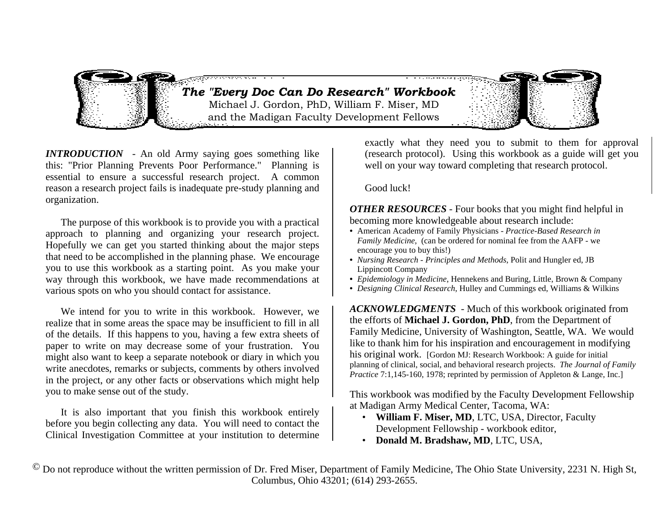*The "Every Doc Can Do Research" Workboo k* and the Madigan Faculty Development Fellows Michael J. Gordon, PhD, William F. Miser, MD

*INTRODUCTION* - An old Army saying goes something like this: "Prior Planning Prevents Poor Performance." Planning is essential to ensure a successful research project. A common reason a research project fails is inadequate pre-study planning and organization.

 The purpose of this workbook is to provide you with a practical approach to planning and organizing your research project. Hopefully we can get you started thinking about the major steps that need to be accomplished in the planning phase. We encourage you to use this workbook as a starting point. As you make your way through this workbook, we have made recommendations at various spots on who you should contact for assistance.

 We intend for you to write in this workbook. However, we realize that in some areas the space may be insufficient to fill in all of the details. If this happens to you, having a few extra sheets of paper to write on may decrease some of your frustration. You might also want to keep a separate notebook or diary in which you write anecdotes, remarks or subjects, comments by others involved in the project, or any other facts or observations which might help you to make sense out of the study.

 It is also important that you finish this workbook entirely before you begin collecting any data. You will need to contact the Clinical Investigation Committee at your institution to determine exactly what they need you to submit to them for approval (research protocol). Using this workbook as a guide will get you well on your way toward completing that research protocol.

Good luck!

*OTHER RESOURCES* - Four books that you might find helpful in becoming more knowledgeable about research include:

- American Academy of Family Physicians *Practice-Based Research in Family Medicine*, (can be ordered for nominal fee from the AAFP - we encourage you to buy this!)
- *Nursing Research Principles and Methods*, Polit and Hungler ed, JB Lippincott Company
- *Epidemiology in Medicine*, Hennekens and Buring, Little, Brown & Company
- *Designing Clinical Research*, Hulley and Cummings ed, Williams & Wilkins

*ACKNOWLEDGMENTS* - Much of this workbook originated from the efforts of **Michael J. Gordon, PhD**, from the Department of Family Medicine, University of Washington, Seattle, WA. We would like to thank him for his inspiration and encouragement in modifying his original work. [Gordon MJ: Research Workbook: A guide for initial planning of clinical, social, and behavioral research projects. *The Journal of Family Practice* 7:1,145-160, 1978; reprinted by permission of Appleton & Lange, Inc.]

This workbook was modified by the Faculty Development Fellowship at Madigan Army Medical Center, Tacoma, WA:

- **William F. Miser, MD**, LTC, USA, Director, Faculty Development Fellowship - workbook editor,
- **Donald M. Bradshaw, MD**, LTC, USA,

 $\degree$  Do not reproduce without the written permission of Dr. Fred Miser, Department of Family Medicine, The Ohio State University, 2231 N. High St, Columbus, Ohio 43201; (614) 293-2655.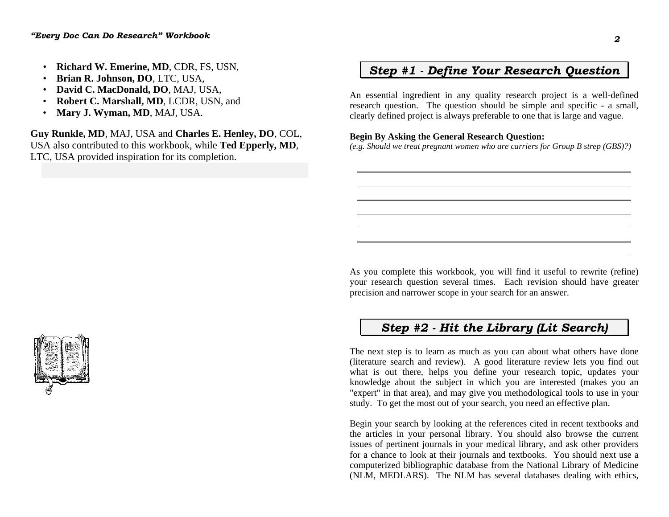- **Richard W. Emerine, MD**, CDR, FS, USN,
- **Brian R. Johnson, DO**, LTC, USA,
- **David C. MacDonald, DO**, MAJ, USA,
- **Robert C. Marshall, MD**, LCDR, USN, and
- **Mary J. Wyman, MD**, MAJ, USA.

**Guy Runkle, MD**, MAJ, USA and **Charles E. Henley, DO**, COL, USA also contributed to this workbook, while **Ted Epperly, MD**, LTC, USA provided inspiration for its completion.

## *Step #1 - Define Your Research Question*

An essential ingredient in any quality research project is a well-defined research question. The question should be simple and specific - a small, clearly defined project is always preferable to one that is large and vague.

### **Begin By Asking the General Research Question:**

*(e.g. Should we treat pregnant women who are carriers for Group B strep (GBS)?)* 

As you complete this workbook, you will find it useful to rewrite (refine) your research question several times. Each revision should have greater precision and narrower scope in your search for an answer.

## *Step #2 - Hit the Library (Lit Search)*

The next step is to learn as much as you can about what others have done (literature search and review). A good literature review lets you find out what is out there, helps you define your research topic, updates your knowledge about the subject in which you are interested (makes you an "expert" in that area), and may give you methodological tools to use in your study. To get the most out of your search, you need an effective plan.

Begin your search by looking at the references cited in recent textbooks and the articles in your personal library. You should also browse the current issues of pertinent journals in your medical library, and ask other providers for a chance to look at their journals and textbooks. You should next use a computerized bibliographic database from the National Library of Medicine (NLM, MEDLARS). The NLM has several databases dealing with ethics,

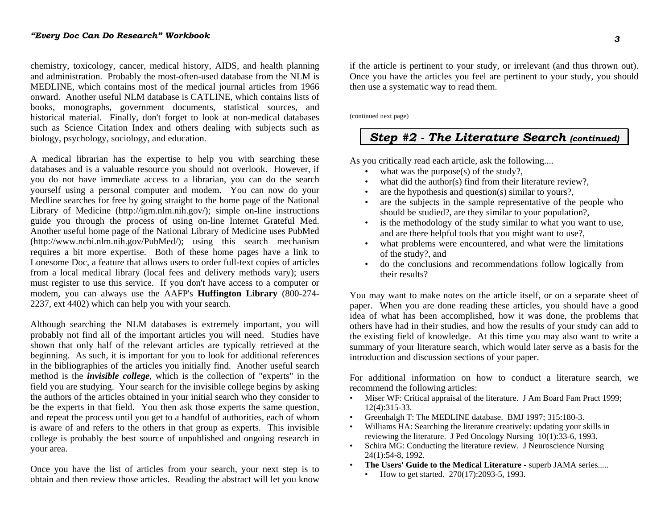chemistry, toxicology, cancer, medical history, AIDS, and health planning and administration. Probably the most-often-used database from the NLM is MEDLINE, which contains most of the medical journal articles from 1966 onward. Another useful NLM database is CATLINE, which contains lists of books, monographs, government documents, statistical sources, and historical material. Finally, don't forget to look at non-medical databases such as Science Citation Index and others dealing with subjects such as biology, psychology, sociology, and education.

A medical librarian has the expertise to help you with searching these databases and is a valuable resource you should not overlook. However, if you do not have immediate access to a librarian, you can do the search yourself using a personal computer and modem. You can now do your Medline searches for free by going straight to the home page of the National Library of Medicine (http://igm.nlm.nih.gov/); simple on-line instructions guide you through the process of using on-line Internet Grateful Med. Another useful home page of the National Library of Medicine uses PubMed (http://www.ncbi.nlm.nih.gov/PubMed/); using this search mechanism requires a bit more expertise. Both of these home pages have a link to Lonesome Doc, a feature that allows users to order full-text copies of articles from a local medical library (local fees and delivery methods vary); users must register to use this service. If you don't have access to a computer or modem, you can always use the AAFP's **Huffington Library** (800-274- 2237, ext 4402) which can help you with your search.

Although searching the NLM databases is extremely important, you will probably not find all of the important articles you will need. Studies have shown that only half of the relevant articles are typically retrieved at the beginning. As such, it is important for you to look for additional references in the bibliographies of the articles you initially find. Another useful search method is the *invisible college*, which is the collection of "experts" in the field you are studying. Your search for the invisible college begins by asking the authors of the articles obtained in your initial search who they consider to be the experts in that field. You then ask those experts the same question, and repeat the process until you get to a handful of authorities, each of whom is aware of and refers to the others in that group as experts. This invisible college is probably the best source of unpublished and ongoing research in your area.

Once you have the list of articles from your search, your next step is to obtain and then review those articles. Reading the abstract will let you know if the article is pertinent to your study, or irrelevant (and thus thrown out). Once you have the articles you feel are pertinent to your study, you should then use a systematic way to read them.

(continued next page)

### *Step #2 - The Literature Search (continued)*

As you critically read each article, ask the following....

- what was the purpose $(s)$  of the study?,
- what did the author(s) find from their literature review?,
- are the hypothesis and question(s) similar to yours?,
- are the subjects in the sample representative of the people who should be studied?, are they similar to your population?,
- is the methodology of the study similar to what you want to use, and are there helpful tools that you might want to use?,
- what problems were encountered, and what were the limitations of the study?, and
- do the conclusions and recommendations follow logically from their results?

You may want to make notes on the article itself, or on a separate sheet of paper. When you are done reading these articles, you should have a good idea of what has been accomplished, how it was done, the problems that others have had in their studies, and how the results of your study can add to the existing field of knowledge. At this time you may also want to write a summary of your literature search, which would later serve as a basis for the introduction and discussion sections of your paper.

For additional information on how to conduct a literature search, we recommend the following articles:

- Miser WF: Critical appraisal of the literature. J Am Board Fam Pract 1999; 12(4):315-33.
- Greenhalgh T: The MEDLINE database. BMJ 1997; 315:180-3.
- Williams HA: Searching the literature creatively: updating your skills in reviewing the literature. J Ped Oncology Nursing 10(1):33-6, 1993.
- Schira MG: Conducting the literature review. J Neuroscience Nursing 24(1):54-8, 1992.
- **The Users' Guide to the Medical Literature** superb JAMA series.....
	- How to get started. 270(17):2093-5, 1993.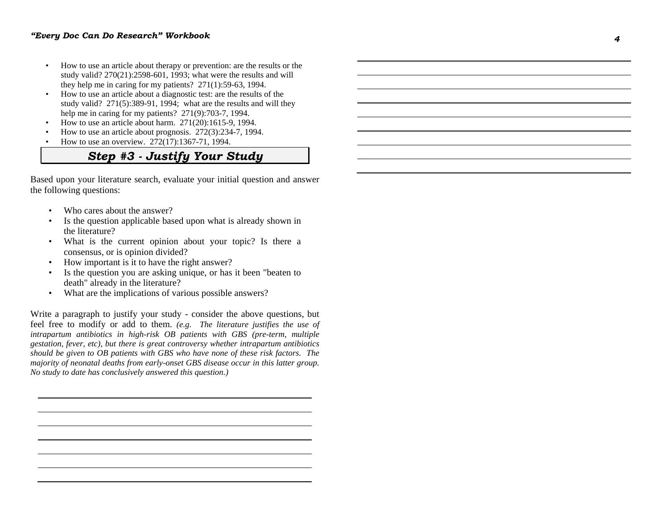- How to use an article about therapy or prevention: are the results or the study valid? 270(21):2598-601, 1993; what were the results and will they help me in caring for my patients? 271(1):59-63, 1994.
- How to use an article about a diagnostic test: are the results of the study valid? 271(5):389-91, 1994; what are the results and will they help me in caring for my patients? 271(9):703-7, 1994.
- How to use an article about harm. 271(20):1615-9, 1994.
- How to use an article about prognosis. 272(3):234-7, 1994.
- How to use an overview. 272(17):1367-71, 1994.

## *Step #3 - Justify Your Study*

Based upon your literature search, evaluate your initial question and answer the following questions:

- Who cares about the answer?
- Is the question applicable based upon what is already shown in the literature?
- What is the current opinion about your topic? Is there a consensus, or is opinion divided?
- How important is it to have the right answer?
- Is the question you are asking unique, or has it been "beaten to death" already in the literature?
- What are the implications of various possible answers?

Write a paragraph to justify your study - consider the above questions, but feel free to modify or add to them. *(e.g. The literature justifies the use of intrapartum antibiotics in high-risk OB patients with GBS (pre-term, multiple gestation, fever, etc), but there is great controversy whether intrapartum antibiotics should be given to OB patients with GBS who have none of these risk factors. The majority of neonatal deaths from early-onset GBS disease occur in this latter group. No study to date has conclusively answered this question.)*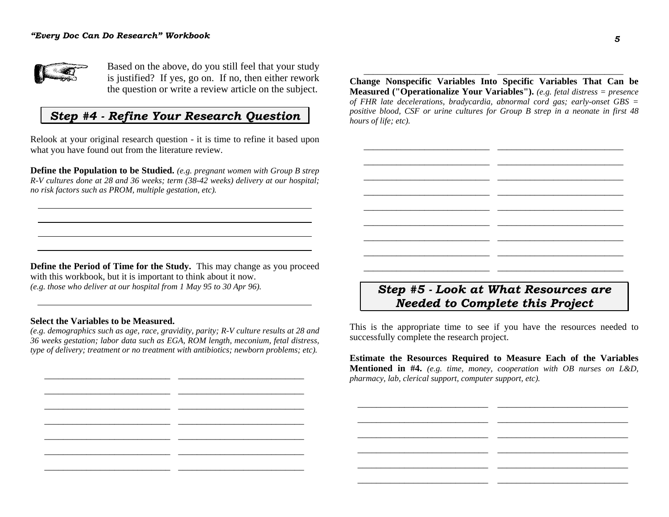

Based on the above, do you still feel that your study is justified? If yes, go on. If no, then either rework the question or write a review article on the subject.

## *Step #4 - Refine Your Research Question*

Relook at your original research question - it is time to refine it based upon what you have found out from the literature review.

**Define the Population to be Studied.** *(e.g. pregnant women with Group B strep R-V cultures done at 28 and 36 weeks; term (38-42 weeks) delivery at our hospital; no risk factors such as PROM, multiple gestation, etc).*

**Change Nonspecific Variables Into Specific Variables That Can be Measured ("Operationalize Your Variables").** *(e.g. fetal distress = presence of FHR late decelerations, bradycardia, abnormal cord gas; early-onset GBS = positive blood, CSF or urine cultures for Group B strep in a neonate in first 48 hours of life; etc).*

 $\qquad \qquad \qquad -$  . The contribution of the contribution of the contribution of the contribution of the contribution of the contribution of the contribution of the contribution of the contribution of the contribution of the co  $\qquad \qquad \qquad -$  . The contribution of the contribution of the contribution of the contribution of the contribution of the contribution of the contribution of the contribution of the contribution of the contribution of the co  $\qquad \qquad \qquad -$  . The contribution of the contribution of the contribution of the contribution of the contribution of the contribution of the contribution of the contribution of the contribution of the contribution of the co  $\qquad \qquad \qquad -$  . The contribution of the contribution of the contribution of the contribution of the contribution of the contribution of the contribution of the contribution of the contribution of the contribution of the co  $\qquad \qquad \qquad -$  . The contribution of the contribution of the contribution of the contribution of the contribution of the contribution of the contribution of the contribution of the contribution of the contribution of the co  $\qquad \qquad \qquad -$  . The contribution of the contribution of the contribution of the contribution of the contribution of the contribution of the contribution of the contribution of the contribution of the contribution of the co  $\qquad \qquad \qquad -$  . The contribution of the contribution of the contribution of the contribution of the contribution of the contribution of the contribution of the contribution of the contribution of the contribution of the co  $\qquad \qquad \qquad -$  . The contribution of the contribution of the contribution of the contribution of the contribution of the contribution of the contribution of the contribution of the contribution of the contribution of the co  $\qquad \qquad \qquad -$  . The contribution of the contribution of the contribution of the contribution of the contribution of the contribution of the contribution of the contribution of the contribution of the contribution of the co

\_\_\_\_\_\_\_\_\_\_\_\_\_\_\_\_\_\_\_\_\_\_\_\_\_\_\_ \_\_\_\_\_\_\_\_\_\_\_\_\_\_\_\_\_\_\_\_\_\_\_\_\_\_\_

**Define the Period of Time for the Study.** This may change as you proceed with this workbook, but it is important to think about it now. *(e.g. those who deliver at our hospital from 1 May 95 to 30 Apr 96).*

#### **Select the Variables to be Measured.**

*(e.g. demographics such as age, race, gravidity, parity; R-V culture results at 28 and 36 weeks gestation; labor data such as EGA, ROM length, meconium, fetal distress, type of delivery; treatment or no treatment with antibiotics; newborn problems; etc).* 

\_\_\_\_\_\_\_\_\_\_\_\_\_\_\_\_\_\_\_\_\_\_\_\_\_\_\_ \_\_\_\_\_\_\_\_\_\_\_\_\_\_\_\_\_\_\_\_\_\_\_\_\_\_\_ \_\_\_\_\_\_\_\_\_\_\_\_\_\_\_\_\_\_\_\_\_\_\_\_\_\_\_ \_\_\_\_\_\_\_\_\_\_\_\_\_\_\_\_\_\_\_\_\_\_\_\_\_\_\_ \_\_\_\_\_\_\_\_\_\_\_\_\_\_\_\_\_\_\_\_\_\_\_\_\_\_\_ \_\_\_\_\_\_\_\_\_\_\_\_\_\_\_\_\_\_\_\_\_\_\_\_\_\_\_ \_\_\_\_\_\_\_\_\_\_\_\_\_\_\_\_\_\_\_\_\_\_\_\_\_\_\_ \_\_\_\_\_\_\_\_\_\_\_\_\_\_\_\_\_\_\_\_\_\_\_\_\_\_\_

\_\_\_\_\_\_\_\_\_\_\_\_\_\_\_\_\_\_\_\_\_\_\_\_\_\_\_ \_\_\_\_\_\_\_\_\_\_\_\_\_\_\_\_\_\_\_\_\_\_\_\_\_\_\_ \_\_\_\_\_\_\_\_\_\_\_\_\_\_\_\_\_\_\_\_\_\_\_\_\_\_\_ \_\_\_\_\_\_\_\_\_\_\_\_\_\_\_\_\_\_\_\_\_\_\_\_\_\_\_

\_\_\_\_\_\_\_\_\_\_\_\_\_\_\_\_\_\_\_\_\_\_\_\_\_\_\_ \_\_\_\_\_\_\_\_\_\_\_\_\_\_\_\_\_\_\_\_\_\_\_\_\_\_\_

## *Step #5 - Look at What Resources are Needed to Complete this Project*

This is the appropriate time to see if you have the resources needed to successfully complete the research project.

**Estimate the Resources Required to Measure Each of the Variables Mentioned in #4.** *(e.g. time, money, cooperation with OB nurses on L&D, pharmacy, lab, clerical support, computer support, etc).*

\_\_\_\_\_\_\_\_\_\_\_\_\_\_\_\_\_\_\_\_\_\_\_\_\_\_\_\_ \_\_\_\_\_\_\_\_\_\_\_\_\_\_\_\_\_\_\_\_\_\_\_\_\_\_\_\_ \_\_\_\_\_\_\_\_\_\_\_\_\_\_\_\_\_\_\_\_\_\_\_\_\_\_\_\_ \_\_\_\_\_\_\_\_\_\_\_\_\_\_\_\_\_\_\_\_\_\_\_\_\_\_\_\_ \_\_\_\_\_\_\_\_\_\_\_\_\_\_\_\_\_\_\_\_\_\_\_\_\_\_\_\_ \_\_\_\_\_\_\_\_\_\_\_\_\_\_\_\_\_\_\_\_\_\_\_\_\_\_\_\_ \_\_\_\_\_\_\_\_\_\_\_\_\_\_\_\_\_\_\_\_\_\_\_\_\_\_\_\_ \_\_\_\_\_\_\_\_\_\_\_\_\_\_\_\_\_\_\_\_\_\_\_\_\_\_\_\_ \_\_\_\_\_\_\_\_\_\_\_\_\_\_\_\_\_\_\_\_\_\_\_\_\_\_\_\_ \_\_\_\_\_\_\_\_\_\_\_\_\_\_\_\_\_\_\_\_\_\_\_\_\_\_\_\_ \_\_\_\_\_\_\_\_\_\_\_\_\_\_\_\_\_\_\_\_\_\_\_\_\_\_\_\_ \_\_\_\_\_\_\_\_\_\_\_\_\_\_\_\_\_\_\_\_\_\_\_\_\_\_\_\_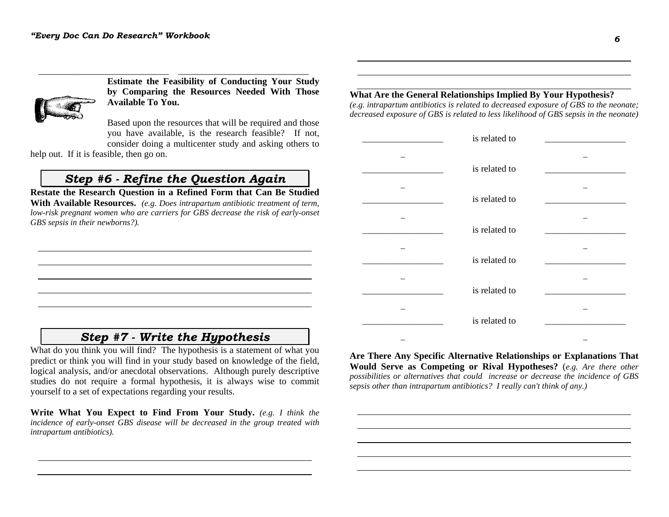

**Estimate the Feasibility of Conducting Your Study by Comparing the Resources Needed With Those Available To You.**

Based upon the resources that will be required and those you have available, is the research feasible? If not, consider doing a multicenter study and asking others to

help out. If it is feasible, then go on.

### *Step #6 - Refine the Question Again*

\_\_\_\_\_\_\_\_\_\_\_\_\_\_\_\_\_\_\_\_\_\_\_\_\_\_\_\_ \_\_\_\_\_\_\_\_\_\_\_\_\_\_\_\_\_\_\_\_\_\_\_\_\_\_\_\_

**Restate the Research Question in a Refined Form that Can Be Studied With Available Resources.** *(e.g. Does intrapartum antibiotic treatment of term, low-risk pregnant women who are carriers for GBS decrease the risk of early-onset GBS sepsis in their newborns?).*

### *Step #7 - Write the Hypothesis*

What do you think you will find? The hypothesis is a statement of what you predict or think you will find in your study based on knowledge of the field, logical analysis, and/or anecdotal observations. Although purely descriptive studies do not require a formal hypothesis, it is always wise to commit yourself to a set of expectations regarding your results.

**Write What You Expect to Find From Your Study.** *(e.g. I think the incidence of early-onset GBS disease will be decreased in the group treated with intrapartum antibiotics).* 

### **What Are the General Relationships Implied By Your Hypothesis?**

*(e.g. intrapartum antibiotics is related to decreased exposure of GBS to the neonate; decreased exposure of GBS is related to less likelihood of GBS sepsis in the neonate)* 

| is related to |  |
|---------------|--|
| is related to |  |
| is related to |  |
| is related to |  |
| is related to |  |
| is related to |  |
| is related to |  |
|               |  |

**Are There Any Specific Alternative Relationships or Explanations That Would Serve as Competing or Rival Hypotheses?** (*e.g. Are there other possibilities or alternatives that could increase or decrease the incidence of GBS sepsis other than intrapartum antibiotics? I really can't think of any.)*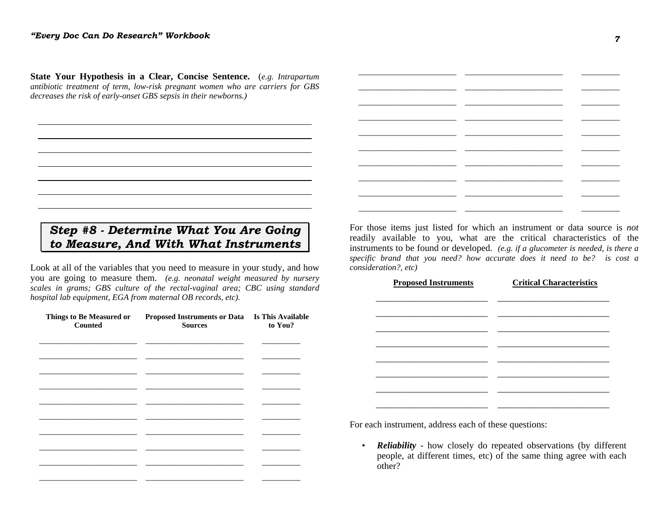**State Your Hypothesis in a Clear, Concise Sentence.** (*e.g. Intrapartum antibiotic treatment of term, low-risk pregnant women who are carriers for GBS decreases the risk of early-onset GBS sepsis in their newborns.)* 

## *Step #8 - Determine What You Are Going to Measure, And With What Instruments*

Look at all of the variables that you need to measure in your study, and how you are going to measure them. *(e.g. neonatal weight measured by nursery scales in grams; GBS culture of the rectal-vaginal area; CBC using standard hospital lab equipment, EGA from maternal OB records, etc).*

| Things to Be Measured or<br><b>Counted</b> | Proposed Instruments or Data Is This Available<br><b>Sources</b> | to You? |
|--------------------------------------------|------------------------------------------------------------------|---------|
|                                            |                                                                  |         |
|                                            |                                                                  |         |
|                                            |                                                                  |         |
|                                            |                                                                  |         |
|                                            |                                                                  |         |
|                                            |                                                                  |         |
|                                            |                                                                  |         |
|                                            |                                                                  |         |

For those items just listed for which an instrument or data source is *not* readily available to you, what are the critical characteristics of the instruments to be found or developed. *(e.g. if a glucometer is needed, is there a specific brand that you need? how accurate does it need to be? is cost a consideration?, etc)*

\_\_\_\_\_\_\_\_\_\_\_\_\_\_\_\_\_\_\_\_\_\_\_ \_\_\_\_\_\_\_\_\_\_\_\_\_\_\_\_\_\_\_\_\_\_\_ \_\_\_\_\_\_\_\_\_ \_\_\_\_\_\_\_\_\_\_\_\_\_\_\_\_\_\_\_\_\_\_\_ \_\_\_\_\_\_\_\_\_\_\_\_\_\_\_\_\_\_\_\_\_\_\_ \_\_\_\_\_\_\_\_\_ \_\_\_\_\_\_\_\_\_\_\_\_\_\_\_\_\_\_\_\_\_\_\_ \_\_\_\_\_\_\_\_\_\_\_\_\_\_\_\_\_\_\_\_\_\_\_ \_\_\_\_\_\_\_\_\_ \_\_\_\_\_\_\_\_\_\_\_\_\_\_\_\_\_\_\_\_\_\_\_ \_\_\_\_\_\_\_\_\_\_\_\_\_\_\_\_\_\_\_\_\_\_\_ \_\_\_\_\_\_\_\_\_ \_\_\_\_\_\_\_\_\_\_\_\_\_\_\_\_\_\_\_\_\_\_\_ \_\_\_\_\_\_\_\_\_\_\_\_\_\_\_\_\_\_\_\_\_\_\_ \_\_\_\_\_\_\_\_\_ \_\_\_\_\_\_\_\_\_\_\_\_\_\_\_\_\_\_\_\_\_\_\_ \_\_\_\_\_\_\_\_\_\_\_\_\_\_\_\_\_\_\_\_\_\_\_ \_\_\_\_\_\_\_\_\_ \_\_\_\_\_\_\_\_\_\_\_\_\_\_\_\_\_\_\_\_\_\_\_ \_\_\_\_\_\_\_\_\_\_\_\_\_\_\_\_\_\_\_\_\_\_\_ \_\_\_\_\_\_\_\_\_ \_\_\_\_\_\_\_\_\_\_\_\_\_\_\_\_\_\_\_\_\_\_\_ \_\_\_\_\_\_\_\_\_\_\_\_\_\_\_\_\_\_\_\_\_\_\_ \_\_\_\_\_\_\_\_\_ \_\_\_\_\_\_\_\_\_\_\_\_\_\_\_\_\_\_\_\_\_\_\_ \_\_\_\_\_\_\_\_\_\_\_\_\_\_\_\_\_\_\_\_\_\_\_ \_\_\_\_\_\_\_\_\_ \_\_\_\_\_\_\_\_\_\_\_\_\_\_\_\_\_\_\_\_\_\_\_ \_\_\_\_\_\_\_\_\_\_\_\_\_\_\_\_\_\_\_\_\_\_\_ \_\_\_\_\_\_\_\_\_

| <b>Proposed Instruments</b> | <b>Critical Characteristics</b> |  |  |
|-----------------------------|---------------------------------|--|--|
|                             |                                 |  |  |
|                             |                                 |  |  |
|                             |                                 |  |  |
|                             |                                 |  |  |
|                             |                                 |  |  |
|                             |                                 |  |  |
|                             |                                 |  |  |

For each instrument, address each of these questions:

*• Reliability* - how closely do repeated observations (by different people, at different times, etc) of the same thing agree with each other?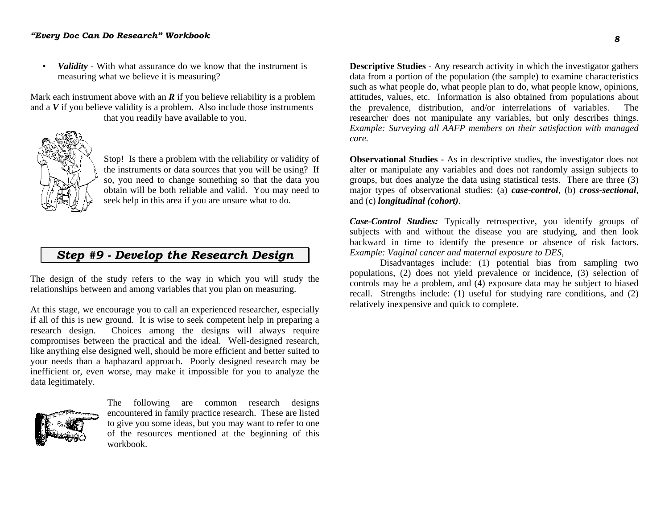### *"Every Doc Can Do Research" Workbook*

*• Validity* - With what assurance do we know that the instrument is measuring what we believe it is measuring?

Mark each instrument above with an *R* if you believe reliability is a problem and a *V* if you believe validity is a problem. Also include those instruments that you readily have available to you.



Stop! Is there a problem with the reliability or validity of the instruments or data sources that you will be using? If so, you need to change something so that the data you obtain will be both reliable and valid. You may need to seek help in this area if you are unsure what to do.

## *Step #9 - Develop the Research Design*

The design of the study refers to the way in which you will study the relationships between and among variables that you plan on measuring.

At this stage, we encourage you to call an experienced researcher, especially if all of this is new ground. It is wise to seek competent help in preparing a research design. Choices among the designs will always require compromises between the practical and the ideal. Well-designed research, like anything else designed well, should be more efficient and better suited to your needs than a haphazard approach. Poorly designed research may be inefficient or, even worse, may make it impossible for you to analyze the data legitimately.



The following are common research designs encountered in family practice research. These are listed to give you some ideas, but you may want to refer to one of the resources mentioned at the beginning of this workbook.

**Descriptive Studies** - Any research activity in which the investigator gathers data from a portion of the population (the sample) to examine characteristics such as what people do, what people plan to do, what people know, opinions, attitudes, values, etc. Information is also obtained from populations about the prevalence, distribution, and/or interrelations of variables. The researcher does not manipulate any variables, but only describes things. *Example: Surveying all AAFP members on their satisfaction with managed care.*

**Observational Studies** - As in descriptive studies, the investigator does not alter or manipulate any variables and does not randomly assign subjects to groups, but does analyze the data using statistical tests. There are three (3) major types of observational studies: (a) *case-control*, (b) *cross-sectional*, and (c) *longitudinal (cohort)*.

*Case-Control Studies:* Typically retrospective, you identify groups of subjects with and without the disease you are studying, and then look backward in time to identify the presence or absence of risk factors. *Example: Vaginal cancer and maternal exposure to DES*,

 Disadvantages include: (1) potential bias from sampling two populations, (2) does not yield prevalence or incidence, (3) selection of controls may be a problem, and (4) exposure data may be subject to biased recall. Strengths include: (1) useful for studying rare conditions, and (2) relatively inexpensive and quick to complete.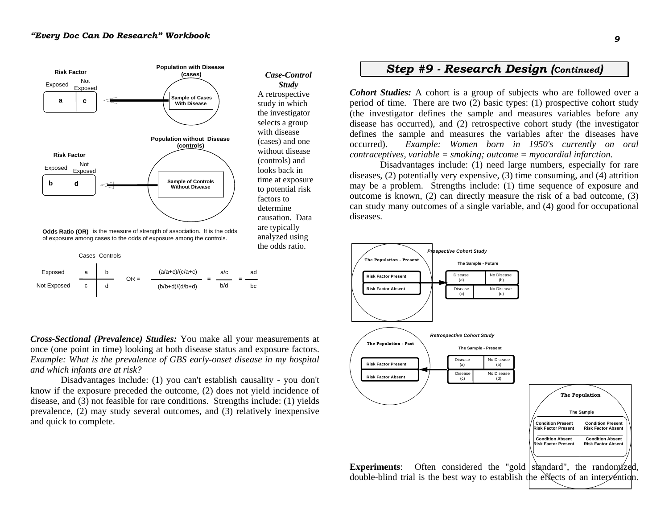

*Case-Control Study* A retrospective study in which the investigator selects a group with disease (cases) and one without disease (controls) and looks back in time at exposure to potential risk factors to determine causation. Data are typically analyzed using the odds ratio.

of exposure among cases to the odds of exposure among the controls.

|             |   | Cases Controls |        |                   |     |    |
|-------------|---|----------------|--------|-------------------|-----|----|
| Exposed     | a |                | $OR =$ | $(a/a+c)/(c/a+c)$ | a/c | ad |
| Not Exposed | c |                |        | $(b/b+d)/(d/b+d)$ | b/d | bc |

*Cross-Sectional (Prevalence) Studies:* You make all your measurements at once (one point in time) looking at both disease status and exposure factors. *Example: What is the prevalence of GBS early-onset disease in my hospital and which infants are at risk?*

 Disadvantages include: (1) you can't establish causality - you don't know if the exposure preceded the outcome, (2) does not yield incidence of disease, and (3) not feasible for rare conditions. Strengths include: (1) yields prevalence, (2) may study several outcomes, and (3) relatively inexpensive and quick to complete.

### *Step #9 - Research Design (Continued)*

*Cohort Studies:* A cohort is a group of subjects who are followed over a period of time. There are two (2) basic types: (1) prospective cohort study (the investigator defines the sample and measures variables before any disease has occurred), and (2) retrospective cohort study (the investigator defines the sample and measures the variables after the diseases have occurred). *Example: Women born in 1950's currently on oral contraceptives, variable = smoking; outcome = myocardial infarction.*

 Disadvantages include: (1) need large numbers, especially for rare diseases, (2) potentially very expensive, (3) time consuming, and (4) attrition may be a problem. Strengths include: (1) time sequence of exposure and outcome is known, (2) can directly measure the risk of a bad outcome, (3) can study many outcomes of a single variable, and (4) good for occupational diseases.



double-blind trial is the best way to establish the effects of an intervention.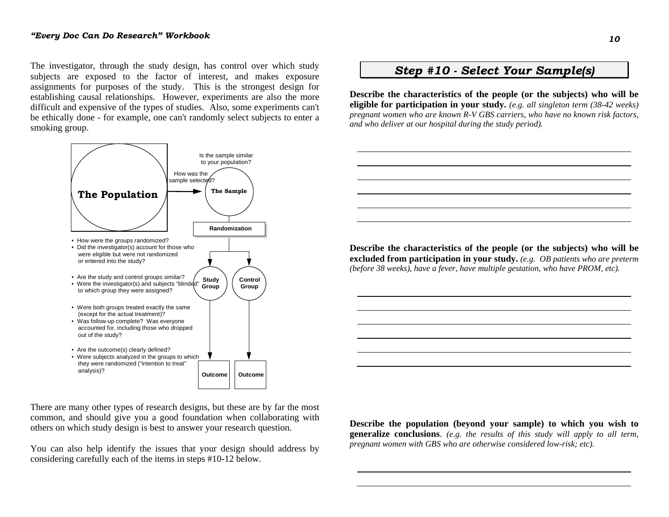The investigator, through the study design, has control over which study subjects are exposed to the factor of interest, and makes exposure assignments for purposes of the study. This is the strongest design for establishing causal relationships. However, experiments are also the more difficult and expensive of the types of studies. Also, some experiments can't be ethically done - for example, one can't randomly select subjects to enter a smoking group.



#### There are many other types of research designs, but these are by far the most common, and should give you a good foundation when collaborating with others on which study design is best to answer your research question.

You can also help identify the issues that your design should address by considering carefully each of the items in steps #10-12 below.

## *Step #10 - Select Your Sample(s)*

**Describe the characteristics of the people (or the subjects) who will be eligible for participation in your study.** *(e.g. all singleton term (38-42 weeks) pregnant women who are known R-V GBS carriers, who have no known risk factors, and who deliver at our hospital during the study period).*

**Describe the characteristics of the people (or the subjects) who will be excluded from participation in your study.** *(e.g. OB patients who are preterm (before 38 weeks), have a fever, have multiple gestation, who have PROM, etc).*

**Describe the population (beyond your sample) to which you wish to generalize conclusions**. *(e.g. the results of this study will apply to all term, pregnant women with GBS who are otherwise considered low-risk; etc).*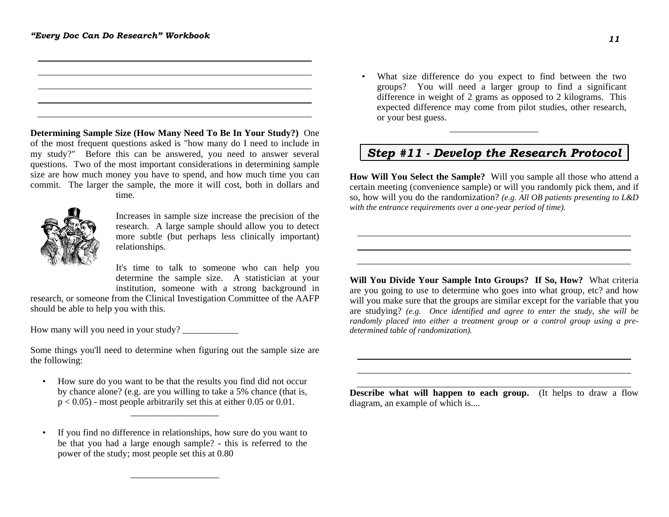**Determining Sample Size (How Many Need To Be In Your Study?)** One of the most frequent questions asked is "how many do I need to include in my study?" Before this can be answered, you need to answer several questions. Two of the most important considerations in determining sample size are how much money you have to spend, and how much time you can commit. The larger the sample, the more it will cost, both in dollars and time.



Increases in sample size increase the precision of the research. A large sample should allow you to detect more subtle (but perhaps less clinically important) relationships.

It's time to talk to someone who can help you determine the sample size. A statistician at your institution, someone with a strong background in

research, or someone from the Clinical Investigation Committee of the AAFP should be able to help you with this.

How many will you need in your study?

Some things you'll need to determine when figuring out the sample size are the following:

• How sure do you want to be that the results you find did not occur by chance alone? (e.g. are you willing to take a 5% chance (that is,  $p < 0.05$ ) - most people arbitrarily set this at either 0.05 or 0.01.

\_\_\_\_\_\_\_\_\_\_\_\_\_\_\_\_\_\_\_

• If you find no difference in relationships, how sure do you want to be that you had a large enough sample? - this is referred to the power of the study; most people set this at 0.80

\_\_\_\_\_\_\_\_\_\_\_\_\_\_\_\_\_\_\_

• What size difference do you expect to find between the two groups? You will need a larger group to find a significant difference in weight of 2 grams as opposed to 2 kilograms. This expected difference may come from pilot studies, other research, or your best guess.

### *Step #11 - Develop the Research Protocol*

\_\_\_\_\_\_\_\_\_\_\_\_\_\_\_\_\_\_\_

**How Will You Select the Sample?** Will you sample all those who attend a certain meeting (convenience sample) or will you randomly pick them, and if so, how will you do the randomization? *(e.g. All OB patients presenting to L&D with the entrance requirements over a one-year period of time).*

**Will You Divide Your Sample Into Groups? If So, How?** What criteria are you going to use to determine who goes into what group, etc? and how will you make sure that the groups are similar except for the variable that you are studying? *(e.g. Once identified and agree to enter the study, she will be randomly placed into either a treatment group or a control group using a predetermined table of randomization).* 

**Describe what will happen to each group.** (It helps to draw a flow diagram, an example of which is....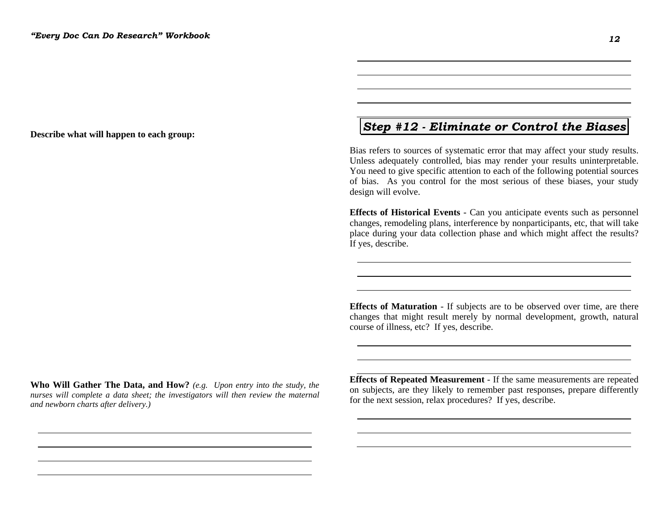**Describe what will happen to each group:**

## *Step #12 - Eliminate or Control the Biases*

Bias refers to sources of systematic error that may affect your study results. Unless adequately controlled, bias may render your results uninterpretable. You need to give specific attention to each of the following potential sources of bias. As you control for the most serious of these biases, your study design will evolve.

**Effects of Historical Events** - Can you anticipate events such as personnel changes, remodeling plans, interference by nonparticipants, etc, that will take place during your data collection phase and which might affect the results? If yes, describe.

**Effects of Maturation** - If subjects are to be observed over time, are there changes that might result merely by normal development, growth, natural course of illness, etc? If yes, describe.

**Who Will Gather The Data, and How?** *(e.g. Upon entry into the study, the nurses will complete a data sheet; the investigators will then review the maternal and newborn charts after delivery.)* 

**Effects of Repeated Measurement** - If the same measurements are repeated on subjects, are they likely to remember past responses, prepare differently for the next session, relax procedures? If yes, describe.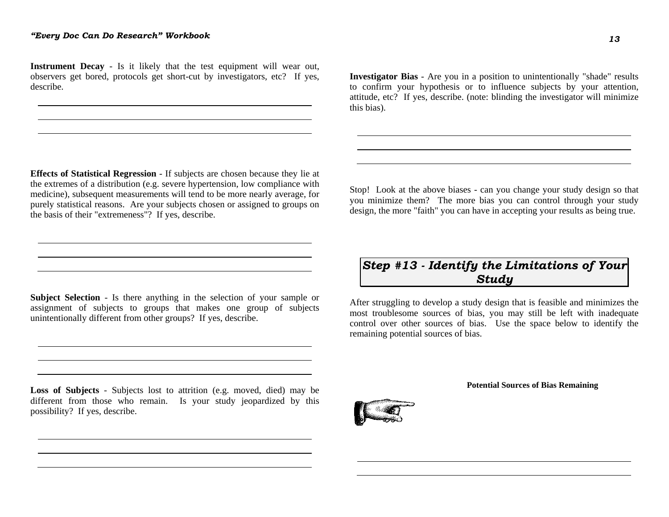**Instrument Decay** - Is it likely that the test equipment will wear out, observers get bored, protocols get short-cut by investigators, etc? If yes, describe.

**Investigator Bias** - Are you in a position to unintentionally "shade" results to confirm your hypothesis or to influence subjects by your attention, attitude, etc? If yes, describe. (note: blinding the investigator will minimize this bias).

**Effects of Statistical Regression** - If subjects are chosen because they lie at the extremes of a distribution (e.g. severe hypertension, low compliance with medicine), subsequent measurements will tend to be more nearly average, for purely statistical reasons. Are your subjects chosen or assigned to groups on the basis of their "extremeness"? If yes, describe.

**Subject Selection** - Is there anything in the selection of your sample or assignment of subjects to groups that makes one group of subjects unintentionally different from other groups? If yes, describe.

**Loss of Subjects** - Subjects lost to attrition (e.g. moved, died) may be different from those who remain. Is your study jeopardized by this possibility? If yes, describe.

Stop! Look at the above biases - can you change your study design so that you minimize them? The more bias you can control through your study design, the more "faith" you can have in accepting your results as being true.

# *Step #13 - Identify the Limitations of Your Study*

After struggling to develop a study design that is feasible and minimizes the most troublesome sources of bias, you may still be left with inadequate control over other sources of bias. Use the space below to identify the remaining potential sources of bias.

#### **Potential Sources of Bias Remaining**



*13*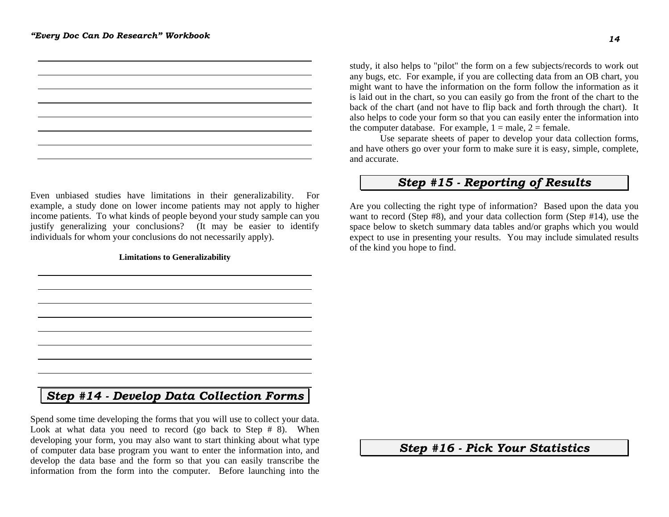

Even unbiased studies have limitations in their generalizability. For example, a study done on lower income patients may not apply to higher income patients. To what kinds of people beyond your study sample can you justify generalizing your conclusions? (It may be easier to identify individuals for whom your conclusions do not necessarily apply).

#### **Limitations to Generalizability**

study, it also helps to "pilot" the form on a few subjects/records to work out any bugs, etc. For example, if you are collecting data from an OB chart, you might want to have the information on the form follow the information as it is laid out in the chart, so you can easily go from the front of the chart to the back of the chart (and not have to flip back and forth through the chart). It also helps to code your form so that you can easily enter the information into the computer database. For example,  $1 =$  male,  $2 =$  female.

 Use separate sheets of paper to develop your data collection forms, and have others go over your form to make sure it is easy, simple, complete, and accurate.

### *Step #15 - Reporting of Results*

Are you collecting the right type of information? Based upon the data you want to record (Step #8), and your data collection form (Step #14), use the space below to sketch summary data tables and/or graphs which you would expect to use in presenting your results. You may include simulated results of the kind you hope to find.

# *Step #14 - Develop Data Collection Forms*

Spend some time developing the forms that you will use to collect your data. Look at what data you need to record (go back to Step # 8). When developing your form, you may also want to start thinking about what type of computer data base program you want to enter the information into, and develop the data base and the form so that you can easily transcribe the information from the form into the computer. Before launching into the

*Step #16 - Pick Your Statistics*

*14*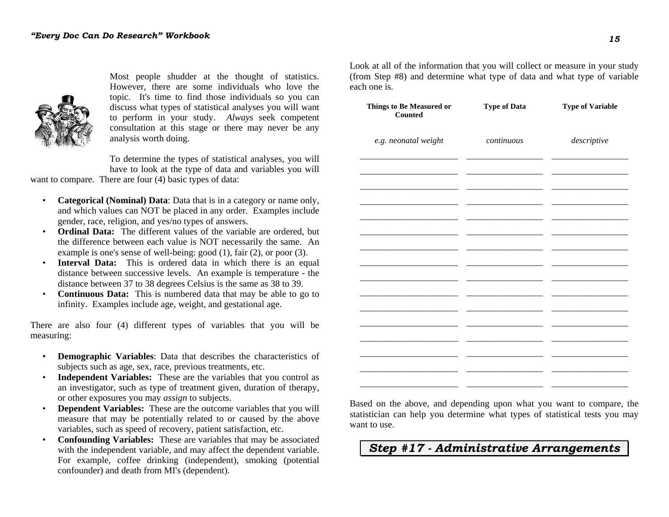

Most people shudder at the thought of statistics. However, there are some individuals who love the topic. It's time to find those individuals so you can discuss what types of statistical analyses you will want to perform in your study. *Always* seek competent consultation at this stage or there may never be any analysis worth doing.

To determine the types of statistical analyses, you will have to look at the type of data and variables you will

want to compare. There are four (4) basic types of data:

- **Categorical (Nominal) Data**: Data that is in a category or name only, and which values can NOT be placed in any order. Examples include gender, race, religion, and yes/no types of answers.
- **Ordinal Data:** The different values of the variable are ordered, but the difference between each value is NOT necessarily the same. An example is one's sense of well-being: good (1), fair (2), or poor (3).
- **Interval Data:** This is ordered data in which there is an equal distance between successive levels. An example is temperature - the distance between 37 to 38 degrees Celsius is the same as 38 to 39.
- **Continuous Data:** This is numbered data that may be able to go to infinity. Examples include age, weight, and gestational age.

There are also four (4) different types of variables that you will be measuring:

- **Demographic Variables**: Data that describes the characteristics of subjects such as age, sex, race, previous treatments, etc.
- **Independent Variables:** These are the variables that you control as an investigator, such as type of treatment given, duration of therapy, or other exposures you may *assign* to subjects.
- **Dependent Variables:** These are the outcome variables that you will measure that may be potentially related to or caused by the above variables, such as speed of recovery, patient satisfaction, etc.
- **Confounding Variables:** These are variables that may be associated with the independent variable, and may affect the dependent variable. For example, coffee drinking (independent), smoking (potential confounder) and death from MI's (dependent).

Look at all of the information that you will collect or measure in your study (from Step #8) and determine what type of data and what type of variable each one is.

| Things to Be Measured or<br>Counted | <b>Type of Data</b> | <b>Type of Variable</b> |
|-------------------------------------|---------------------|-------------------------|
| e.g. neonatal weight                | continuous          | descriptive             |
|                                     |                     |                         |
|                                     |                     |                         |
|                                     |                     |                         |
|                                     |                     |                         |
|                                     |                     |                         |
|                                     |                     |                         |
|                                     |                     |                         |
|                                     |                     |                         |
|                                     |                     |                         |

Based on the above, and depending upon what you want to compare, the statistician can help you determine what types of statistical tests you may want to use.

*Step #17 - Administrative Arrangements*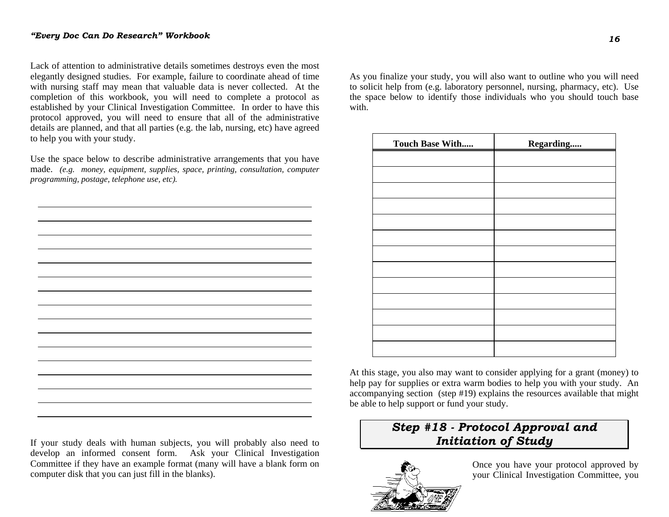Lack of attention to administrative details sometimes destroys even the most elegantly designed studies. For example, failure to coordinate ahead of time with nursing staff may mean that valuable data is never collected. At the completion of this workbook, you will need to complete a protocol as established by your Clinical Investigation Committee. In order to have this protocol approved, you will need to ensure that all of the administrative details are planned, and that all parties (e.g. the lab, nursing, etc) have agreed to help you with your study.

Use the space below to describe administrative arrangements that you have made. *(e.g. money, equipment, supplies, space, printing, consultation, computer programming, postage, telephone use, etc).*

If your study deals with human subjects, you will probably also need to develop an informed consent form. Ask your Clinical Investigation Committee if they have an example format (many will have a blank form on computer disk that you can just fill in the blanks).

As you finalize your study, you will also want to outline who you will need to solicit help from (e.g. laboratory personnel, nursing, pharmacy, etc). Use the space below to identify those individuals who you should touch base with

| Touch Base With | Regarding |
|-----------------|-----------|
|                 |           |
|                 |           |
|                 |           |
|                 |           |
|                 |           |
|                 |           |
|                 |           |
|                 |           |
|                 |           |
|                 |           |
|                 |           |
|                 |           |
|                 |           |

At this stage, you also may want to consider applying for a grant (money) to help pay for supplies or extra warm bodies to help you with your study. An accompanying section (step #19) explains the resources available that might be able to help support or fund your study.

# *Step #18 - Protocol Approval and Initiation of Study*



Once you have your protocol approved by your Clinical Investigation Committee, you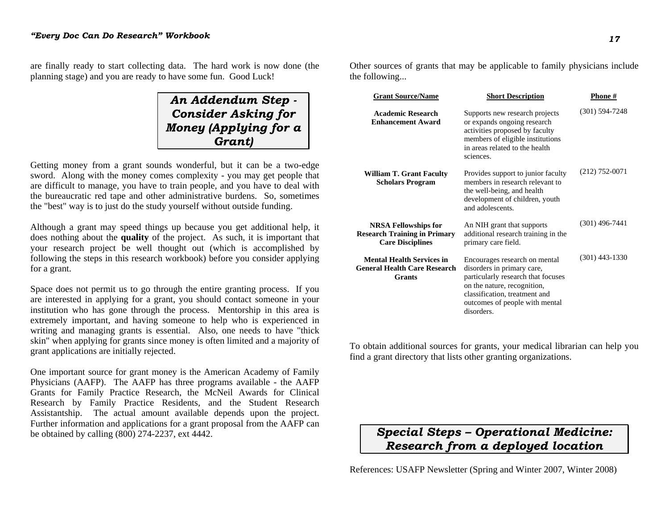are finally ready to start collecting data. The hard work is now done (the planning stage) and you are ready to have some fun. Good Luck!

*An Addendum Step - Consider Asking for Money (Applying for a Grant)*

Getting money from a grant sounds wonderful, but it can be a two-edge sword. Along with the money comes complexity - you may get people that are difficult to manage, you have to train people, and you have to deal with the bureaucratic red tape and other administrative burdens. So, sometimes the "best" way is to just do the study yourself without outside funding.

Although a grant may speed things up because you get additional help, it does nothing about the **quality** of the project. As such, it is important that your research project be well thought out (which is accomplished by following the steps in this research workbook) before you consider applying for a grant.

Space does not permit us to go through the entire granting process. If you are interested in applying for a grant, you should contact someone in your institution who has gone through the process. Mentorship in this area is extremely important, and having someone to help who is experienced in writing and managing grants is essential. Also, one needs to have "thick skin" when applying for grants since money is often limited and a majority of grant applications are initially rejected.

One important source for grant money is the American Academy of Family Physicians (AAFP). The AAFP has three programs available - the AAFP Grants for Family Practice Research, the McNeil Awards for Clinical Research by Family Practice Residents, and the Student Research Assistantship. The actual amount available depends upon the project. Further information and applications for a grant proposal from the AAFP can be obtained by calling  $(800)$  274-2237, ext 4442.

Other sources of grants that may be applicable to family physicians include the following...

| <b>Grant Source/Name</b>                                                                      | <b>Short Description</b>                                                                                                                                                                                          | <b>Phone</b> #   |
|-----------------------------------------------------------------------------------------------|-------------------------------------------------------------------------------------------------------------------------------------------------------------------------------------------------------------------|------------------|
| <b>Academic Research</b><br><b>Enhancement Award</b>                                          | Supports new research projects<br>or expands ongoing research<br>activities proposed by faculty<br>members of eligible institutions<br>in areas related to the health<br>sciences.                                | $(301)$ 594-7248 |
| <b>William T. Grant Faculty</b><br><b>Scholars Program</b>                                    | Provides support to junior faculty<br>members in research relevant to<br>the well-being, and health<br>development of children, youth<br>and adolescents.                                                         | $(212)$ 752-0071 |
| <b>NRSA Fellowships for</b><br><b>Research Training in Primary</b><br><b>Care Disciplines</b> | An NIH grant that supports<br>additional research training in the<br>primary care field.                                                                                                                          | $(301)$ 496-7441 |
| <b>Mental Health Services in</b><br><b>General Health Care Research</b><br><b>Grants</b>      | Encourages research on mental<br>disorders in primary care,<br>particularly research that focuses<br>on the nature, recognition,<br>classification, treatment and<br>outcomes of people with mental<br>disorders. | $(301)$ 443-1330 |

To obtain additional sources for grants, your medical librarian can help you find a grant directory that lists other granting organizations.

# *Special Steps – Operational Medicine: Research from a deployed location*

References: USAFP Newsletter (Spring and Winter 2007, Winter 2008)